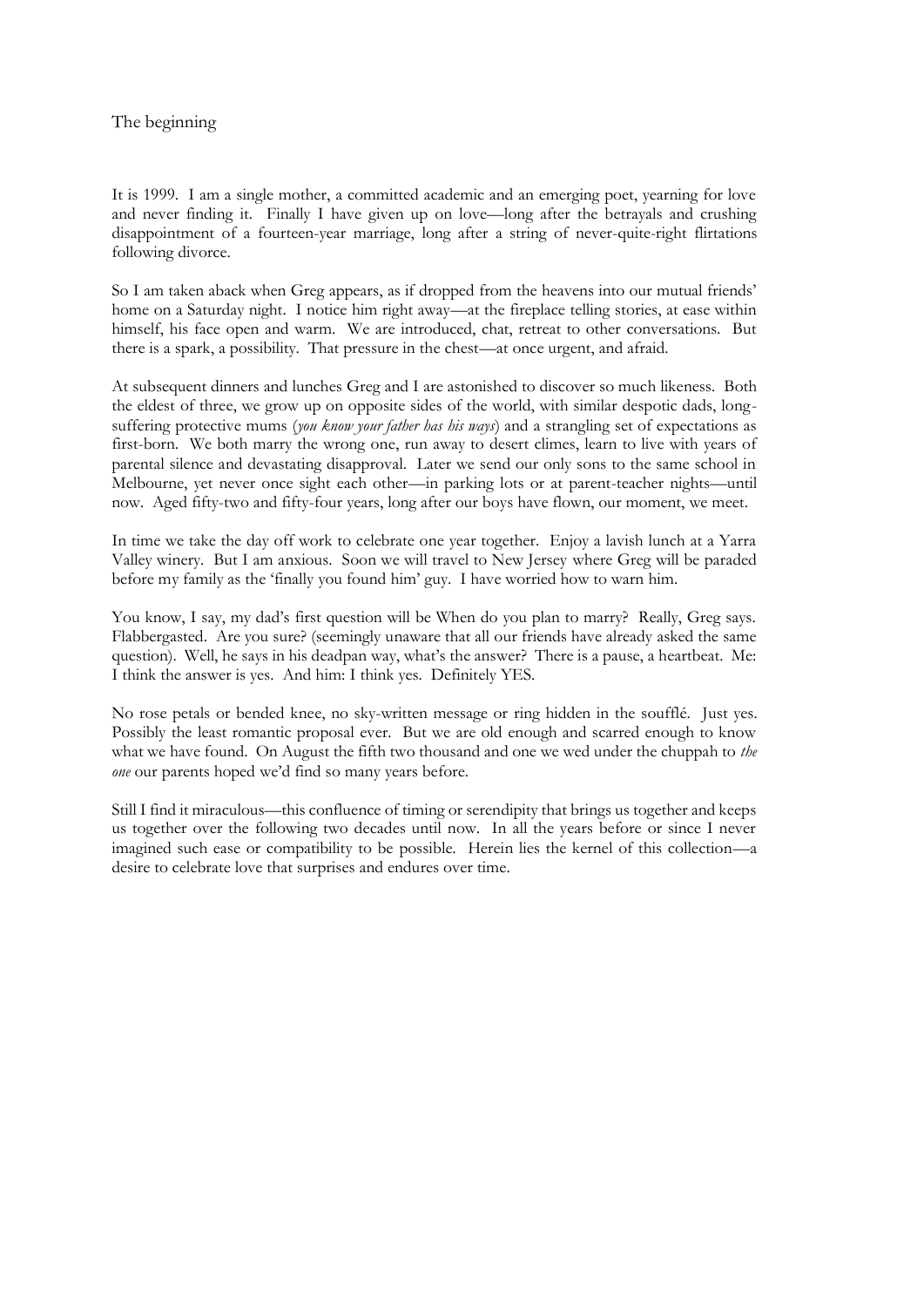## The beginning

It is 1999. I am a single mother, a committed academic and an emerging poet, yearning for love and never finding it. Finally I have given up on love—long after the betrayals and crushing disappointment of a fourteen-year marriage, long after a string of never-quite-right flirtations following divorce.

So I am taken aback when Greg appears, as if dropped from the heavens into our mutual friends' home on a Saturday night. I notice him right away—at the fireplace telling stories, at ease within himself, his face open and warm. We are introduced, chat, retreat to other conversations. But there is a spark, a possibility. That pressure in the chest—at once urgent, and afraid.

At subsequent dinners and lunches Greg and I are astonished to discover so much likeness. Both the eldest of three, we grow up on opposite sides of the world, with similar despotic dads, longsuffering protective mums (*you know your father has his ways*) and a strangling set of expectations as first-born. We both marry the wrong one, run away to desert climes, learn to live with years of parental silence and devastating disapproval. Later we send our only sons to the same school in Melbourne, yet never once sight each other—in parking lots or at parent-teacher nights—until now. Aged fifty-two and fifty-four years, long after our boys have flown, our moment, we meet.

In time we take the day off work to celebrate one year together. Enjoy a lavish lunch at a Yarra Valley winery. But I am anxious. Soon we will travel to New Jersey where Greg will be paraded before my family as the 'finally you found him' guy. I have worried how to warn him.

You know, I say, my dad's first question will be When do you plan to marry? Really, Greg says. Flabbergasted. Are you sure? (seemingly unaware that all our friends have already asked the same question). Well, he says in his deadpan way, what's the answer? There is a pause, a heartbeat. Me: I think the answer is yes. And him: I think yes. Definitely YES.

No rose petals or bended knee, no sky-written message or ring hidden in the soufflé. Just yes. Possibly the least romantic proposal ever. But we are old enough and scarred enough to know what we have found. On August the fifth two thousand and one we wed under the chuppah to *the one* our parents hoped we'd find so many years before.

Still I find it miraculous—this confluence of timing or serendipity that brings us together and keeps us together over the following two decades until now. In all the years before or since I never imagined such ease or compatibility to be possible. Herein lies the kernel of this collection—a desire to celebrate love that surprises and endures over time.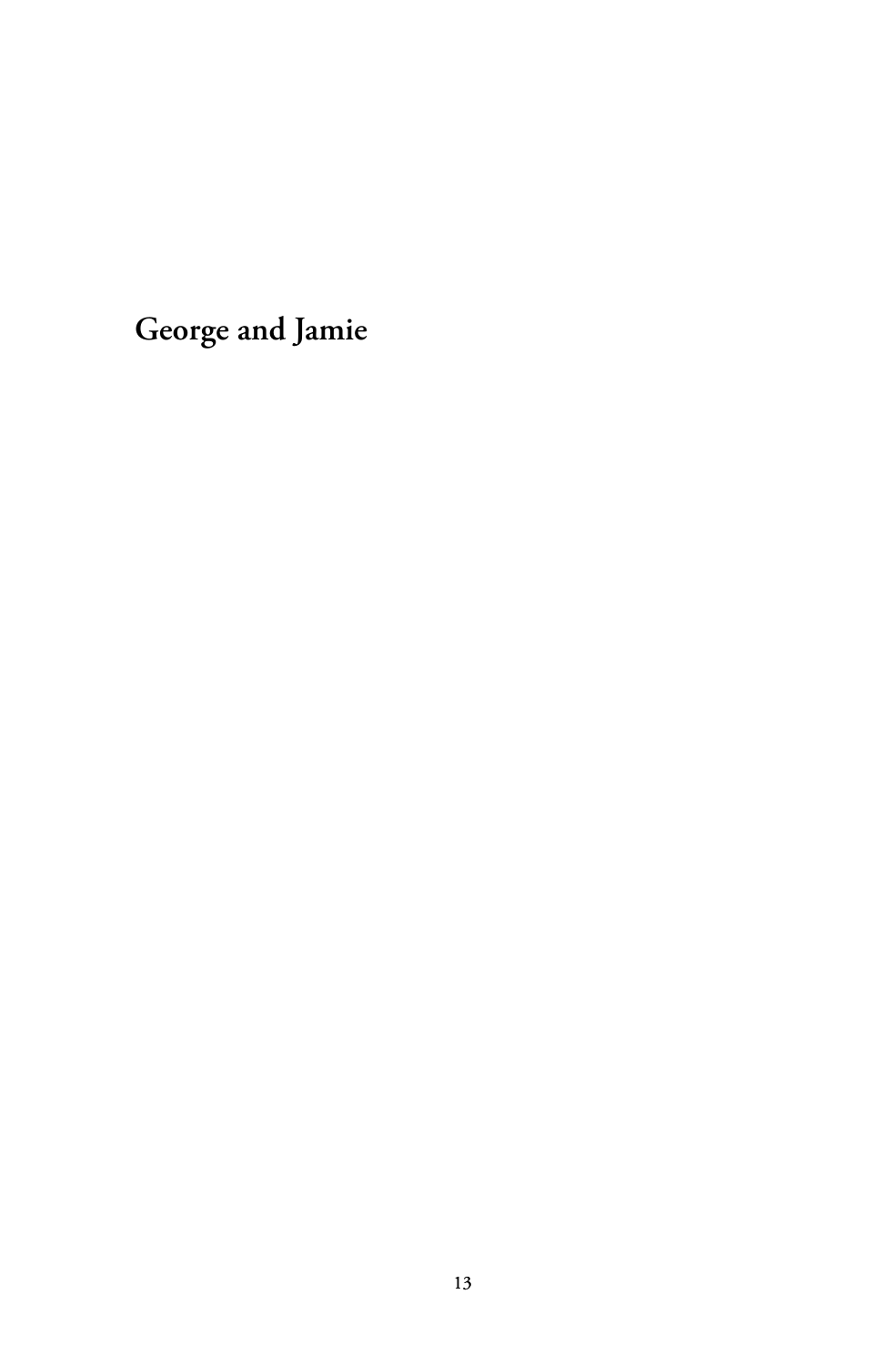**George and Jamie**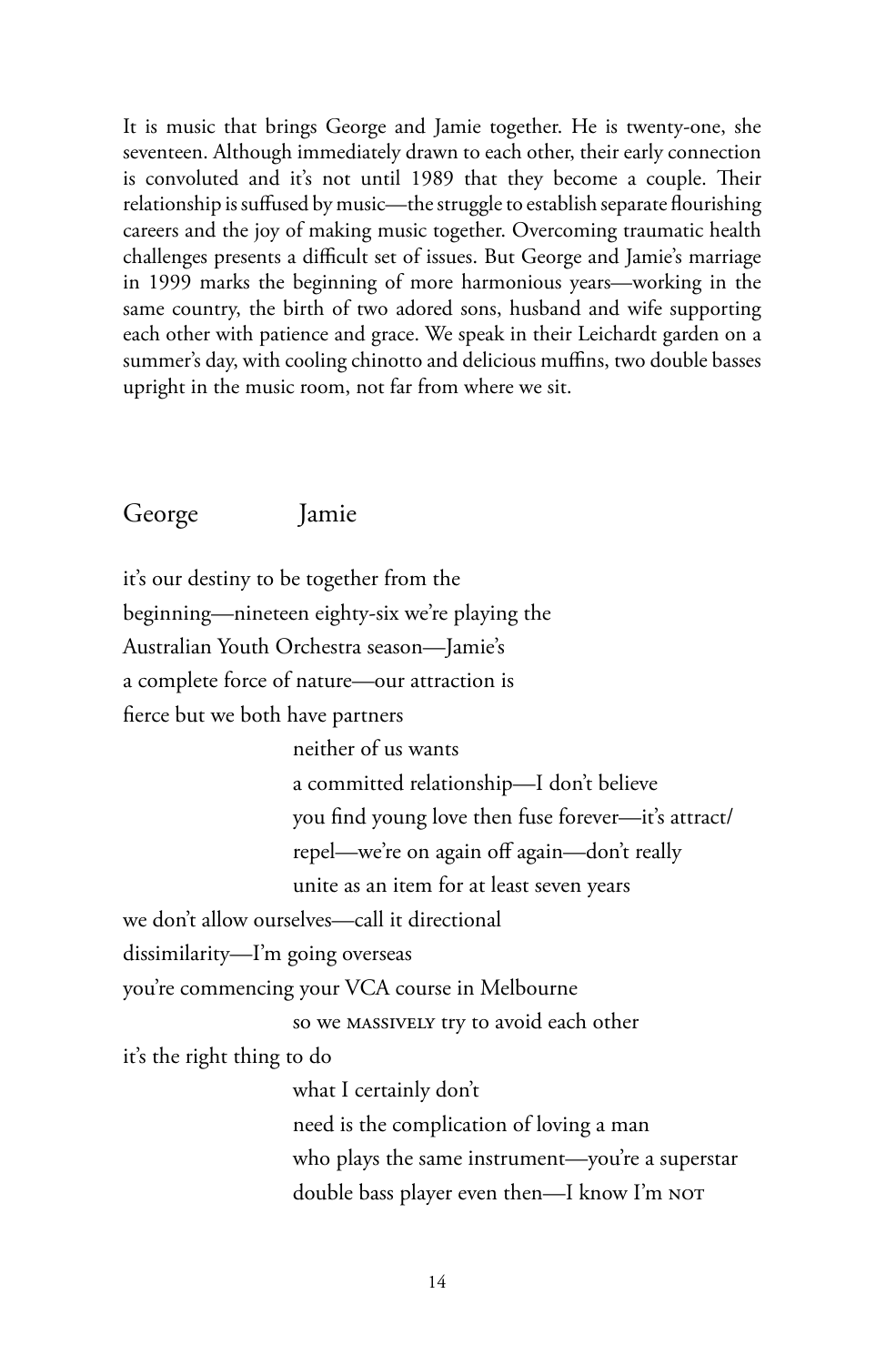It is music that brings George and Jamie together. He is twenty-one, she seventeen. Although immediately drawn to each other, their early connection is convoluted and it's not until 1989 that they become a couple. Their relationship is suffused by music—the struggle to establish separate flourishing careers and the joy of making music together. Overcoming traumatic health challenges presents a difficult set of issues. But George and Jamie's marriage in 1999 marks the beginning of more harmonious years—working in the same country, the birth of two adored sons, husband and wife supporting each other with patience and grace. We speak in their Leichardt garden on a summer's day, with cooling chinotto and delicious muffins, two double basses upright in the music room, not far from where we sit.

## George Jamie

it's our destiny to be together from the beginning—nineteen eighty-six we're playing the Australian Youth Orchestra season—Jamie's a complete force of nature—our attraction is fierce but we both have partners neither of us wants a committed relationship—I don't believe you find young love then fuse forever—it's attract/ repel—we're on again off again—don't really unite as an item for at least seven years we don't allow ourselves—call it directional dissimilarity—I'm going overseas you're commencing your VCA course in Melbourne so we massively try to avoid each other it's the right thing to do what I certainly don't need is the complication of loving a man who plays the same instrument—you're a superstar double bass player even then—I know I'm not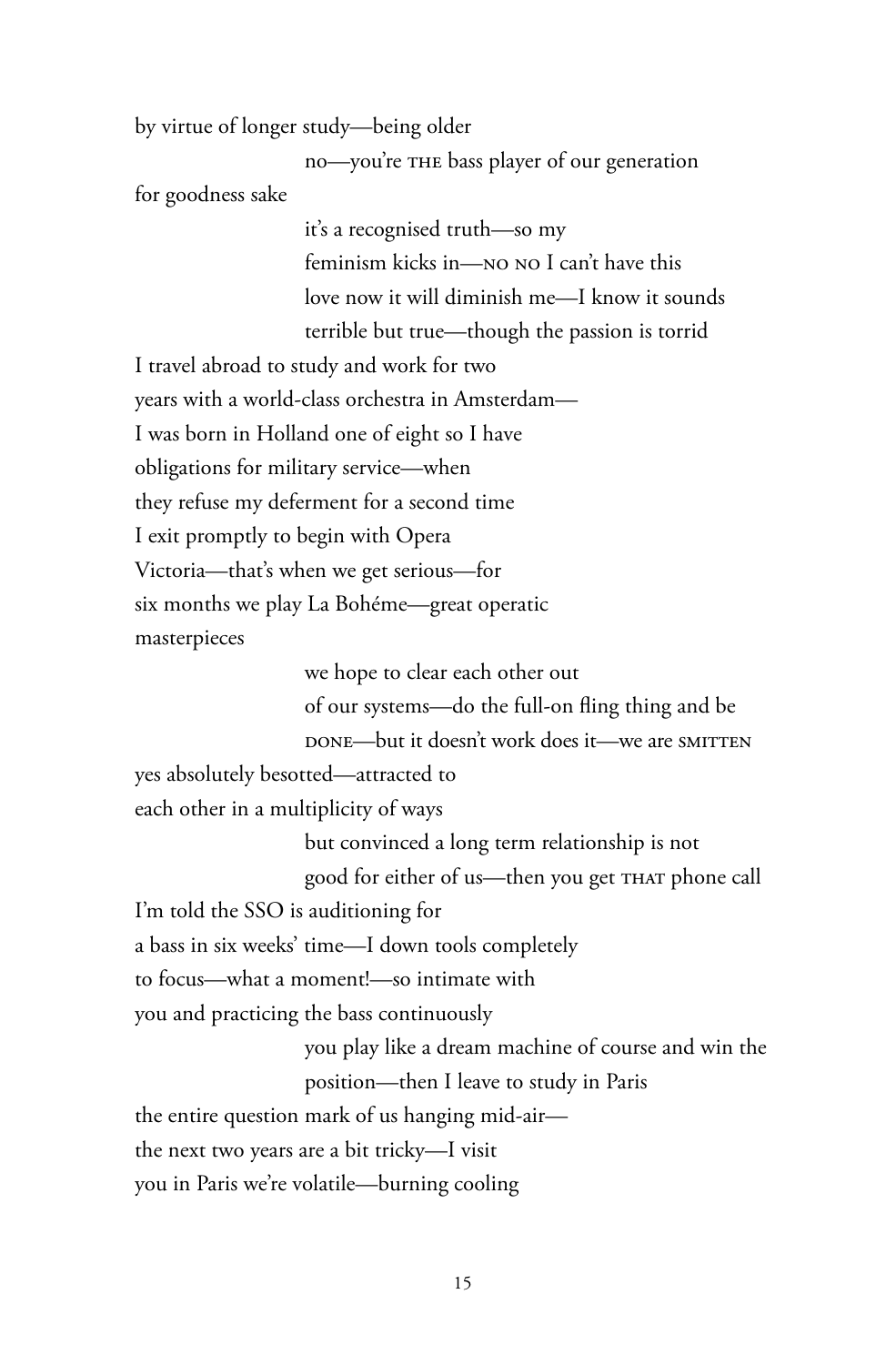by virtue of longer study—being older

no—you're the bass player of our generation for goodness sake

> it's a recognised truth—so my feminism kicks in—no no I can't have this love now it will diminish me—I know it sounds terrible but true—though the passion is torrid

I travel abroad to study and work for two years with a world-class orchestra in Amsterdam— I was born in Holland one of eight so I have obligations for military service—when they refuse my deferment for a second time I exit promptly to begin with Opera Victoria—that's when we get serious—for six months we play La Bohéme—great operatic masterpieces

> we hope to clear each other out of our systems—do the full-on fling thing and be

DONE—but it doesn't work does it—we are SMITTEN

yes absolutely besotted—attracted to

each other in a multiplicity of ways

but convinced a long term relationship is not good for either of us—then you get that phone call

I'm told the SSO is auditioning for

a bass in six weeks' time—I down tools completely

to focus—what a moment!—so intimate with

you and practicing the bass continuously

you play like a dream machine of course and win the position—then I leave to study in Paris

the entire question mark of us hanging mid-air—

the next two years are a bit tricky—I visit

you in Paris we're volatile—burning cooling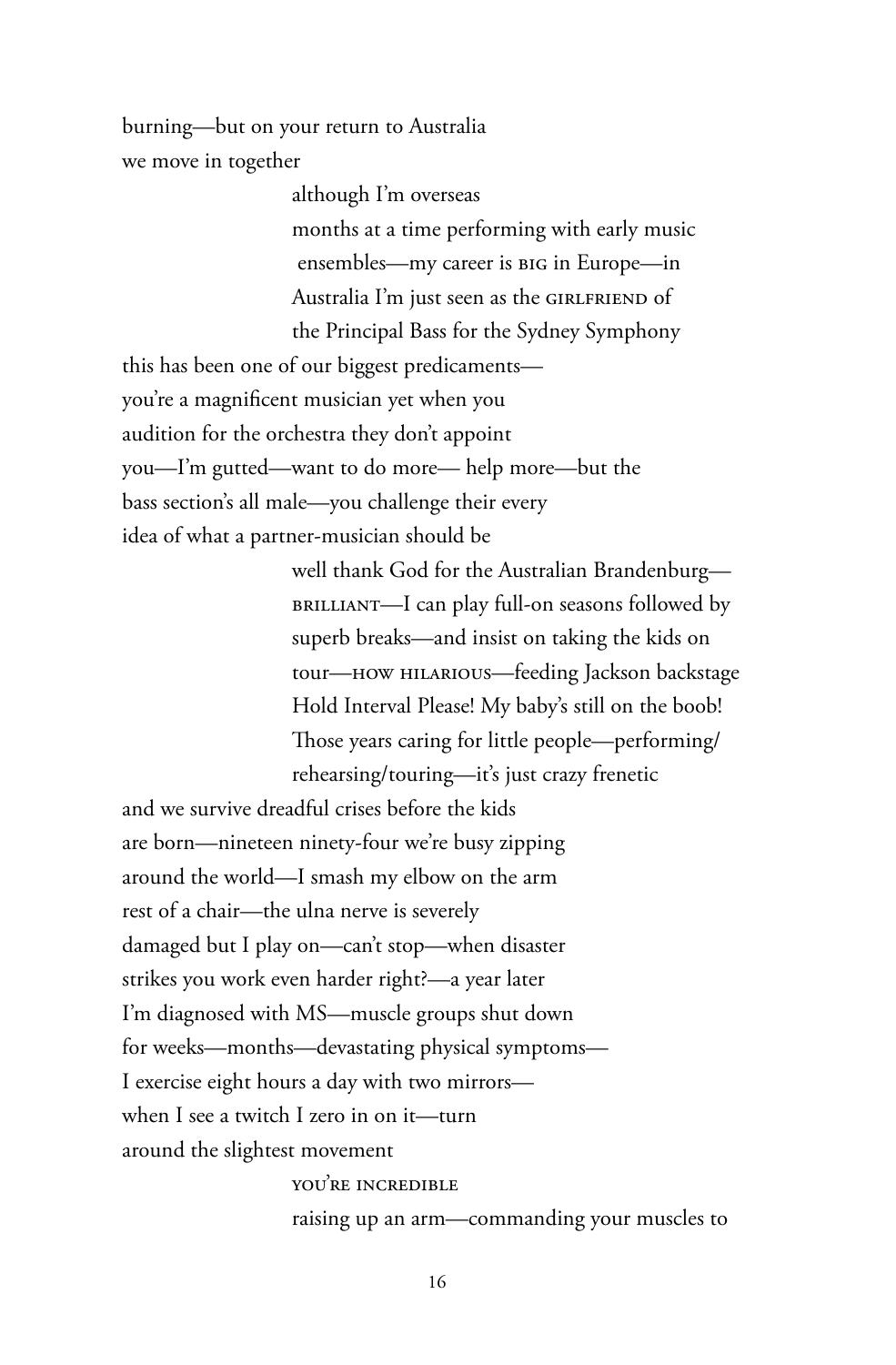burning—but on your return to Australia we move in together

> although I'm overseas months at a time performing with early music ensembles—my career is big in Europe—in Australia I'm just seen as the GIRLFRIEND of the Principal Bass for the Sydney Symphony

this has been one of our biggest predicaments you're a magnificent musician yet when you audition for the orchestra they don't appoint you—I'm gutted—want to do more— help more—but the bass section's all male—you challenge their every idea of what a partner-musician should be

> well thank God for the Australian Brandenburg brilliant—I can play full-on seasons followed by superb breaks—and insist on taking the kids on tour—how hilarious—feeding Jackson backstage Hold Interval Please! My baby's still on the boob! Those years caring for little people—performing/ rehearsing/touring—it's just crazy frenetic

and we survive dreadful crises before the kids are born—nineteen ninety-four we're busy zipping around the world—I smash my elbow on the arm rest of a chair—the ulna nerve is severely damaged but I play on—can't stop—when disaster strikes you work even harder right?—a year later I'm diagnosed with MS—muscle groups shut down for weeks—months—devastating physical symptoms— I exercise eight hours a day with two mirrors when I see a twitch I zero in on it—turn around the slightest movement

> you're incredible raising up an arm—commanding your muscles to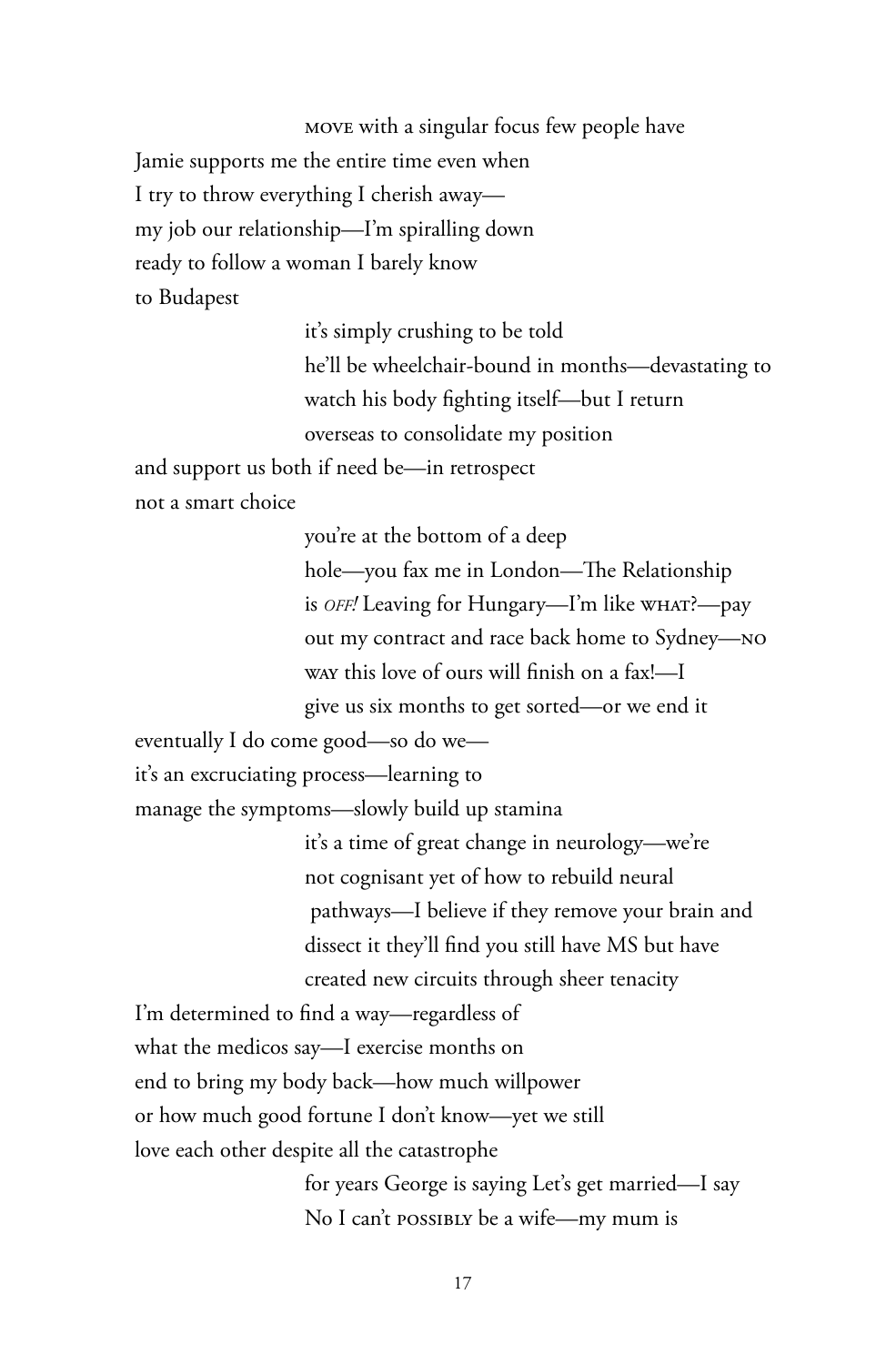move with a singular focus few people have Jamie supports me the entire time even when I try to throw everything I cherish away my job our relationship—I'm spiralling down ready to follow a woman I barely know to Budapest

> it's simply crushing to be told he'll be wheelchair-bound in months—devastating to watch his body fighting itself—but I return overseas to consolidate my position

and support us both if need be—in retrospect not a smart choice

> you're at the bottom of a deep hole—you fax me in London—The Relationship is *off!* Leaving for Hungary—I'm like what?—pay out my contract and race back home to Sydney—no way this love of ours will finish on a fax!—I give us six months to get sorted—or we end it

eventually I do come good—so do we—

it's an excruciating process—learning to

manage the symptoms—slowly build up stamina

it's a time of great change in neurology—we're not cognisant yet of how to rebuild neural pathways—I believe if they remove your brain and dissect it they'll find you still have MS but have created new circuits through sheer tenacity

I'm determined to find a way—regardless of what the medicos say—I exercise months on end to bring my body back—how much willpower or how much good fortune I don't know—yet we still love each other despite all the catastrophe

> for years George is saying Let's get married—I say No I can't possibly be a wife-my mum is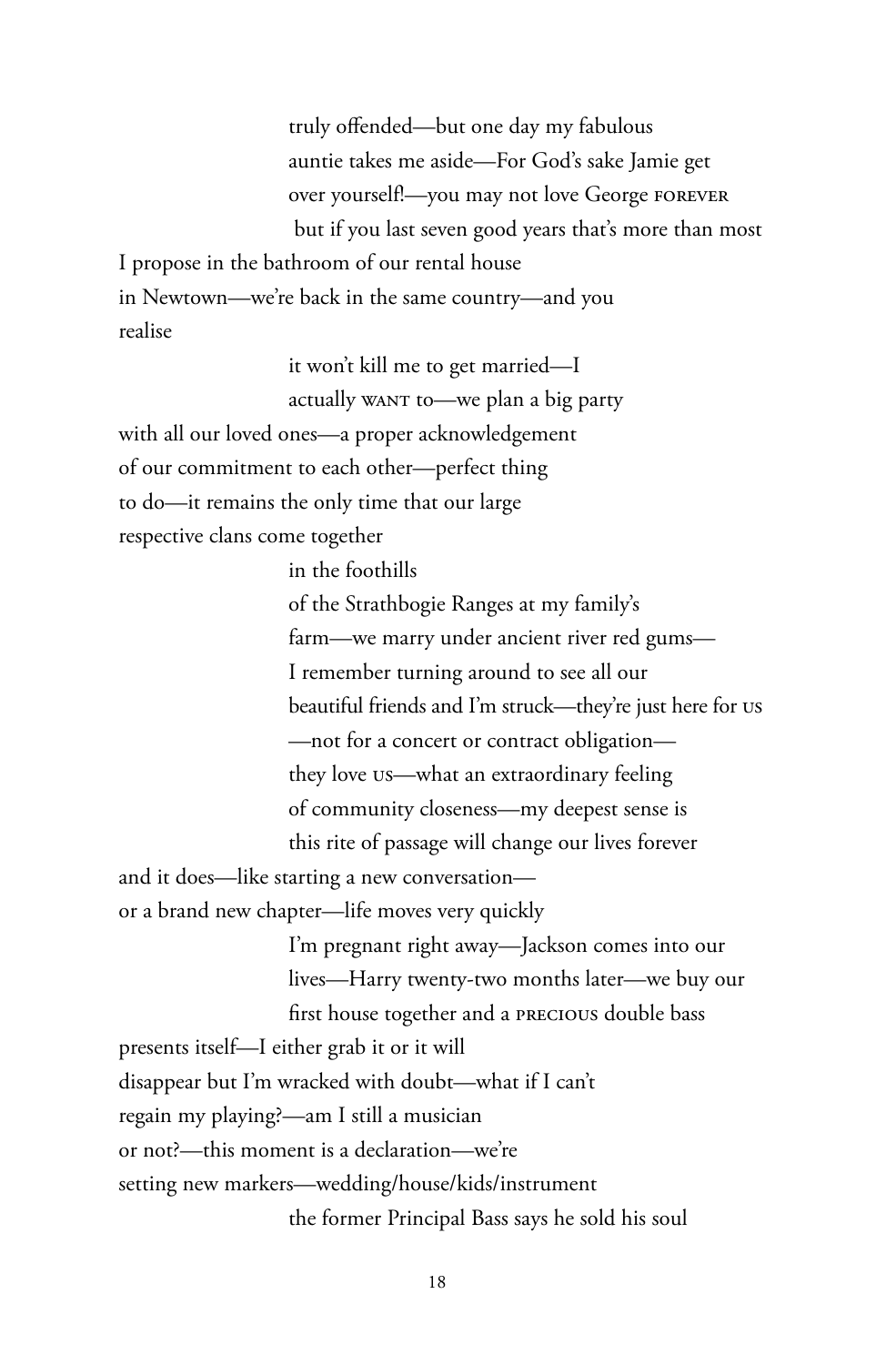truly offended—but one day my fabulous auntie takes me aside—For God's sake Jamie get over yourself!—you may not love George forever but if you last seven good years that's more than most

I propose in the bathroom of our rental house in Newtown—we're back in the same country—and you realise

it won't kill me to get married—I

actually want to—we plan a big party

with all our loved ones—a proper acknowledgement

of our commitment to each other—perfect thing

to do—it remains the only time that our large

respective clans come together

in the foothills

of the Strathbogie Ranges at my family's farm—we marry under ancient river red gums— I remember turning around to see all our beautiful friends and I'm struck—they're just here for us —not for a concert or contract obligation they love us—what an extraordinary feeling of community closeness—my deepest sense is this rite of passage will change our lives forever

and it does—like starting a new conversation or a brand new chapter—life moves very quickly

> I'm pregnant right away—Jackson comes into our lives—Harry twenty-two months later—we buy our first house together and a precious double bass

presents itself—I either grab it or it will

disappear but I'm wracked with doubt—what if I can't

regain my playing?—am I still a musician

or not?—this moment is a declaration—we're

setting new markers—wedding/house/kids/instrument

the former Principal Bass says he sold his soul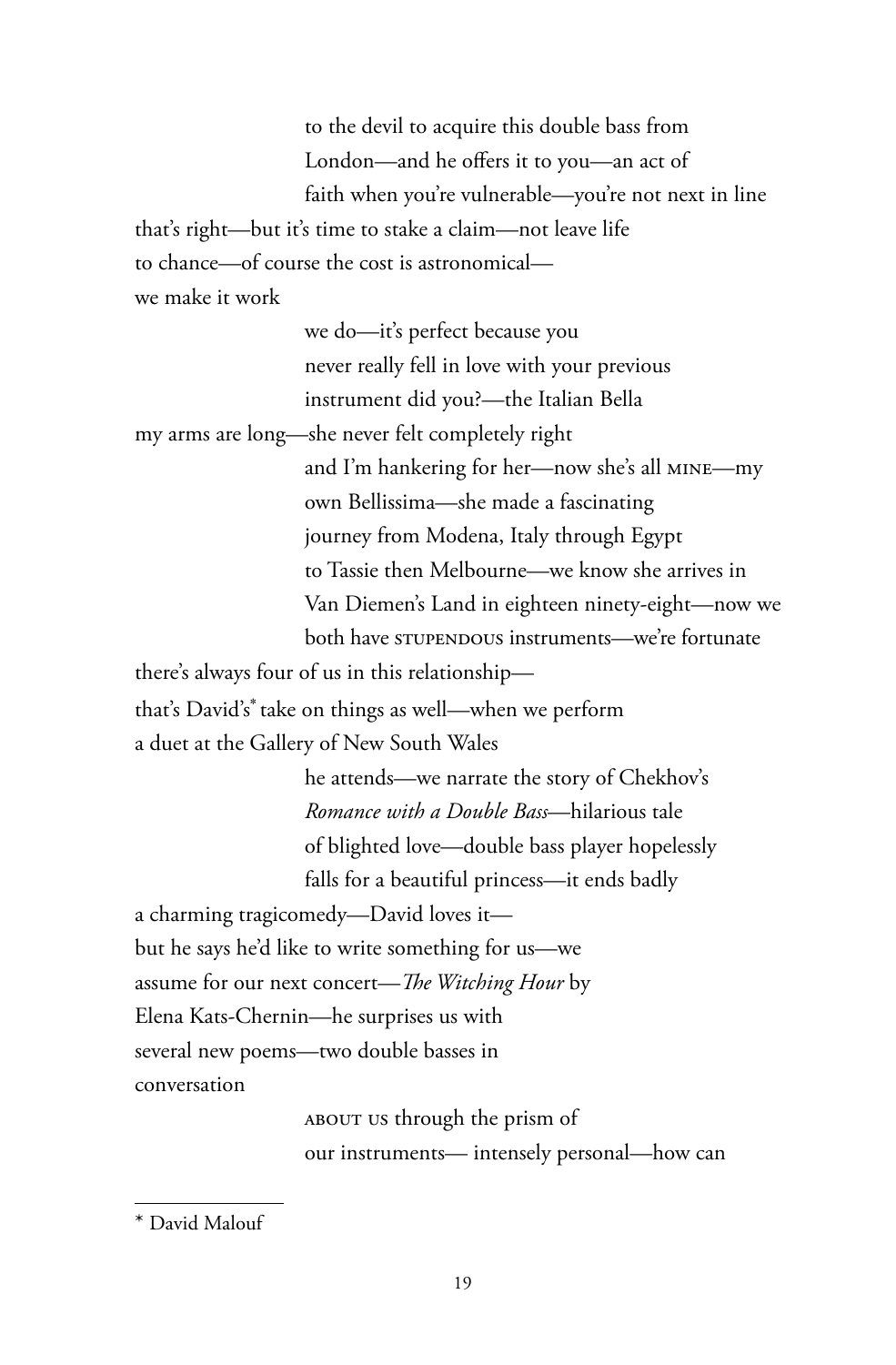to the devil to acquire this double bass from London—and he offers it to you—an act of faith when you're vulnerable—you're not next in line

that's right—but it's time to stake a claim—not leave life

to chance—of course the cost is astronomical—

we make it work

we do—it's perfect because you never really fell in love with your previous instrument did you?—the Italian Bella

my arms are long—she never felt completely right

and I'm hankering for her—now she's all mine—my own Bellissima—she made a fascinating journey from Modena, Italy through Egypt to Tassie then Melbourne—we know she arrives in Van Diemen's Land in eighteen ninety-eight—now we both have stupendous instruments-we're fortunate

there's always four of us in this relationship—

that's David's\* take on things as well—when we perform a duet at the Gallery of New South Wales

> he attends—we narrate the story of Chekhov's *Romance with a Double Bass*—hilarious tale of blighted love—double bass player hopelessly falls for a beautiful princess—it ends badly

a charming tragicomedy—David loves it but he says he'd like to write something for us—we assume for our next concert—*The Witching Hour* by Elena Kats-Chernin—he surprises us with several new poems—two double basses in conversation

> about us through the prism of our instruments— intensely personal—how can

<sup>\*</sup> David Malouf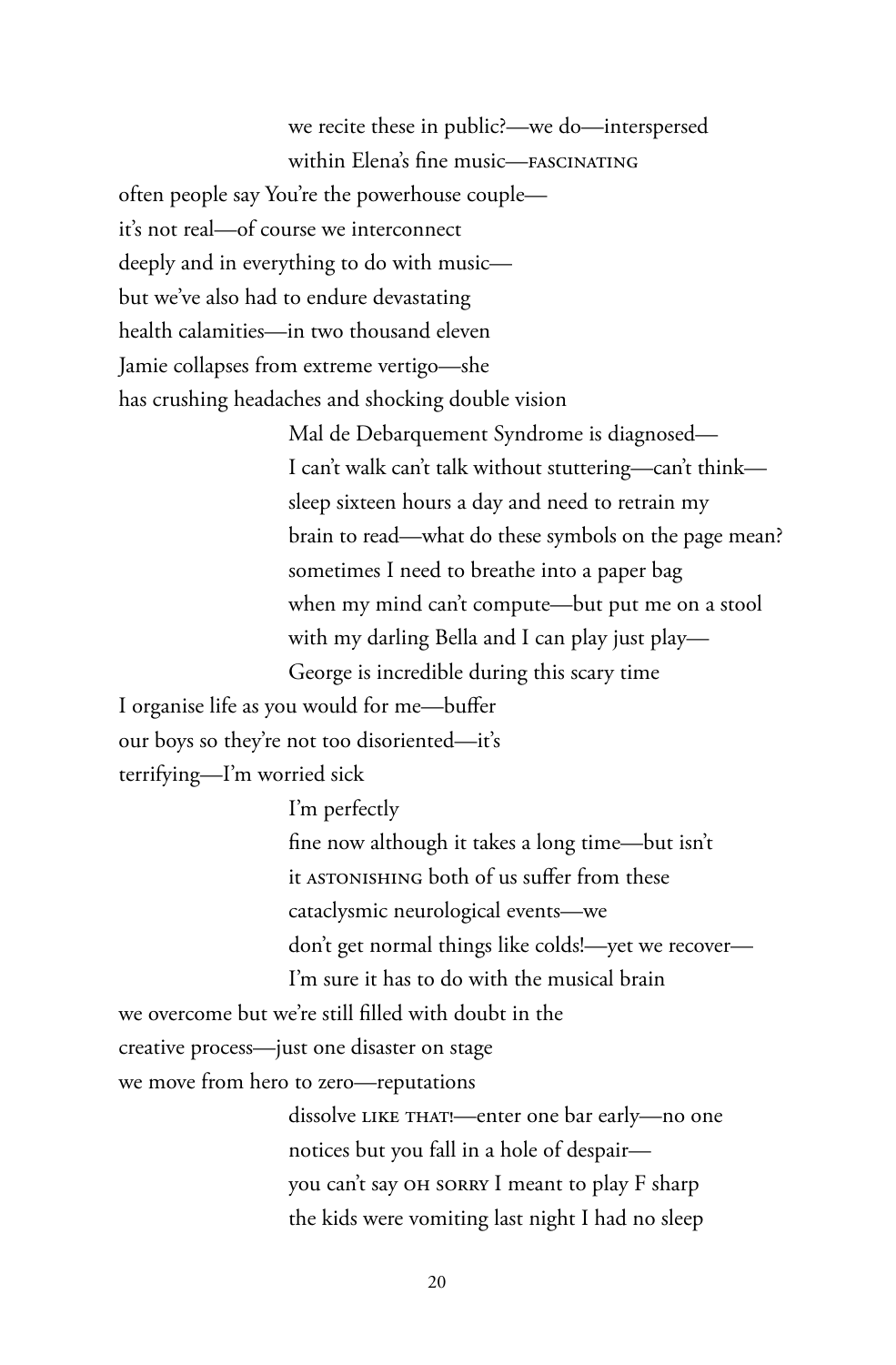we recite these in public?—we do—interspersed within Elena's fine music—FASCINATING often people say You're the powerhouse couple it's not real—of course we interconnect deeply and in everything to do with music but we've also had to endure devastating health calamities—in two thousand eleven Jamie collapses from extreme vertigo—she has crushing headaches and shocking double vision

> Mal de Debarquement Syndrome is diagnosed— I can't walk can't talk without stuttering—can't think sleep sixteen hours a day and need to retrain my brain to read—what do these symbols on the page mean? sometimes I need to breathe into a paper bag when my mind can't compute—but put me on a stool with my darling Bella and I can play just play— George is incredible during this scary time

I organise life as you would for me—buffer our boys so they're not too disoriented—it's terrifying—I'm worried sick

> I'm perfectly fine now although it takes a long time—but isn't it astonishing both of us suffer from these cataclysmic neurological events—we don't get normal things like colds!—yet we recover— I'm sure it has to do with the musical brain

we overcome but we're still filled with doubt in the

creative process—just one disaster on stage

we move from hero to zero—reputations

dissolve LIKE THAT!—enter one bar early—no one notices but you fall in a hole of despair you can't say OH SORRY I meant to play F sharp the kids were vomiting last night I had no sleep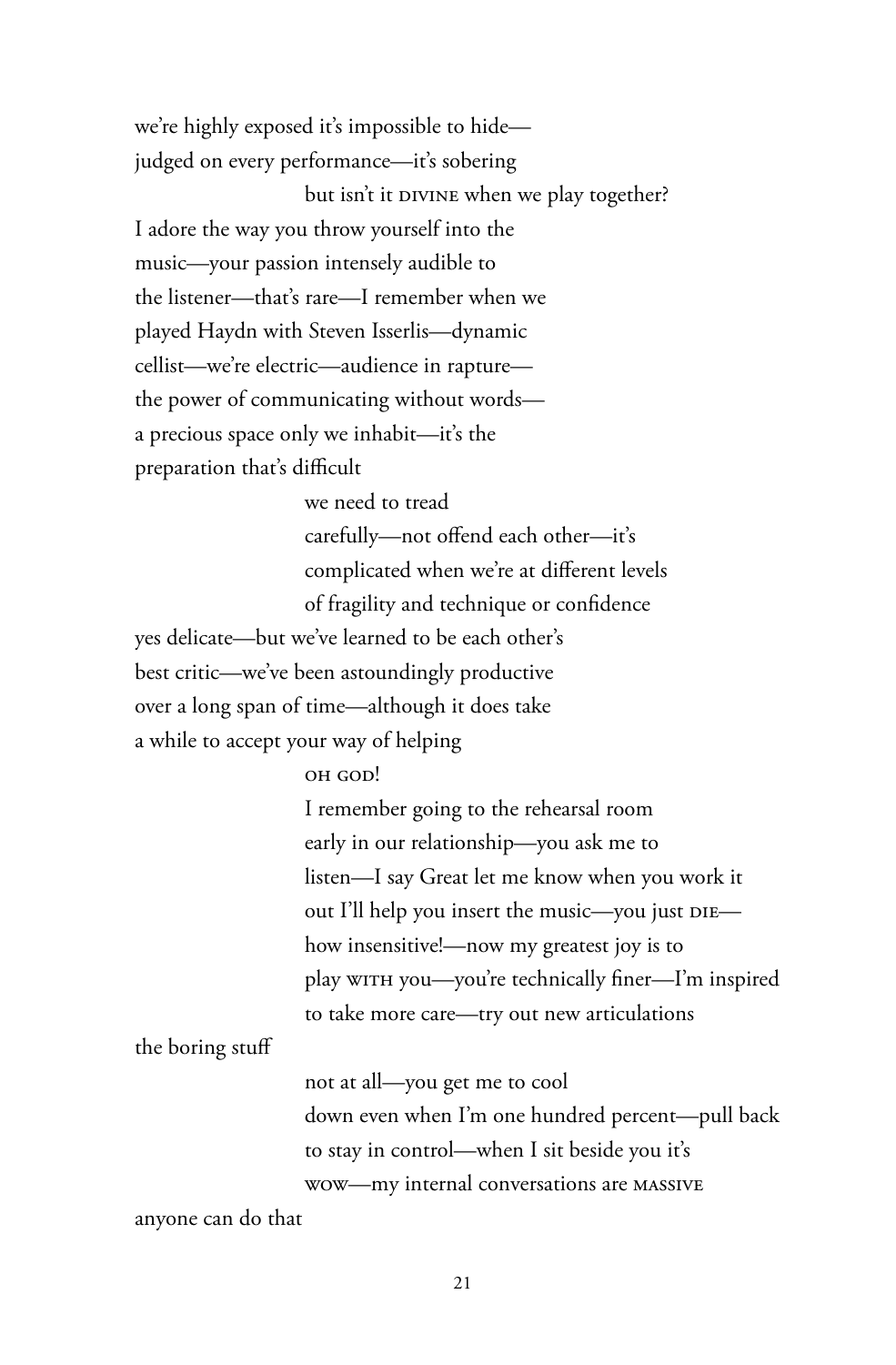we're highly exposed it's impossible to hide judged on every performance—it's sobering but isn't it DIVINE when we play together? I adore the way you throw yourself into the music—your passion intensely audible to the listener—that's rare—I remember when we played Haydn with Steven Isserlis—dynamic cellist—we're electric—audience in rapture the power of communicating without words a precious space only we inhabit—it's the preparation that's difficult

> we need to tread carefully—not offend each other—it's complicated when we're at different levels of fragility and technique or confidence

yes delicate—but we've learned to be each other's best critic—we've been astoundingly productive over a long span of time—although it does take a while to accept your way of helping

## oh cop!

I remember going to the rehearsal room early in our relationship—you ask me to listen—I say Great let me know when you work it out I'll help you insert the music—you just DIE how insensitive!—now my greatest joy is to play with you—you're technically finer—I'm inspired to take more care—try out new articulations

the boring stuff

not at all—you get me to cool down even when I'm one hundred percent—pull back to stay in control—when I sit beside you it's wow—my internal conversations are massive

anyone can do that